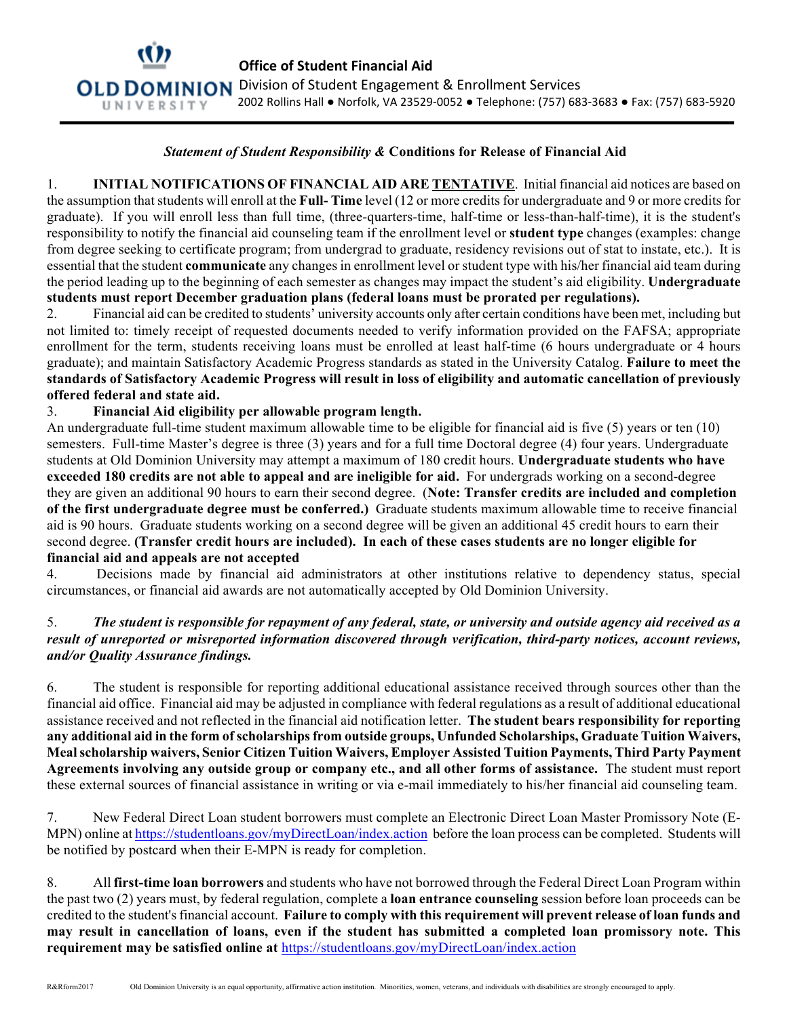

## *Statement of Student Responsibility &* **Conditions for Release of Financial Aid**

1. **INITIAL NOTIFICATIONS OF FINANCIAL AID ARE TENTATIVE**. Initial financial aid notices are based on the assumption that students will enroll at the **Full- Time** level (12 or more credits for undergraduate and 9 or more credits for graduate). If you will enroll less than full time, (three-quarters-time, half-time or less-than-half-time), it is the student's responsibility to notify the financial aid counseling team if the enrollment level or **student type** changes (examples: change from degree seeking to certificate program; from undergrad to graduate, residency revisions out of stat to instate, etc.). It is essential that the student **communicate** any changes in enrollment level or student type with his/her financial aid team during the period leading up to the beginning of each semester as changes may impact the student's aid eligibility. **Undergraduate students must report December graduation plans (federal loans must be prorated per regulations).**

2. Financial aid can be credited to students' university accounts only after certain conditions have been met, including but not limited to: timely receipt of requested documents needed to verify information provided on the FAFSA; appropriate enrollment for the term, students receiving loans must be enrolled at least half-time (6 hours undergraduate or 4 hours graduate); and maintain Satisfactory Academic Progress standards as stated in the University Catalog. **Failure to meet the standards of Satisfactory Academic Progress will result in loss of eligibility and automatic cancellation of previously offered federal and state aid.**

## 3. **Financial Aid eligibility per allowable program length.**

An undergraduate full-time student maximum allowable time to be eligible for financial aid is five (5) years or ten (10) semesters. Full-time Master's degree is three (3) years and for a full time Doctoral degree (4) four years. Undergraduate students at Old Dominion University may attempt a maximum of 180 credit hours. **Undergraduate students who have exceeded 180 credits are not able to appeal and are ineligible for aid.** For undergrads working on a second-degree they are given an additional 90 hours to earn their second degree. (**Note: Transfer credits are included and completion of the first undergraduate degree must be conferred.)** Graduate students maximum allowable time to receive financial aid is 90 hours. Graduate students working on a second degree will be given an additional 45 credit hours to earn their second degree. **(Transfer credit hours are included). In each of these cases students are no longer eligible for financial aid and appeals are not accepted**

4. Decisions made by financial aid administrators at other institutions relative to dependency status, special circumstances, or financial aid awards are not automatically accepted by Old Dominion University.

## 5. *The student is responsible for repayment of any federal, state, or university and outside agency aid received as a result of unreported or misreported information discovered through verification, third-party notices, account reviews, and/or Quality Assurance findings.*

6. The student is responsible for reporting additional educational assistance received through sources other than the financial aid office. Financial aid may be adjusted in compliance with federal regulations as a result of additional educational assistance received and not reflected in the financial aid notification letter. **The student bears responsibility for reporting any additional aid in the form of scholarships from outside groups, Unfunded Scholarships, Graduate Tuition Waivers, Meal scholarship waivers, Senior Citizen Tuition Waivers, Employer Assisted Tuition Payments, Third Party Payment Agreements involving any outside group or company etc., and all other forms of assistance.** The student must report these external sources of financial assistance in writing or via e-mail immediately to his/her financial aid counseling team.

7. New Federal Direct Loan student borrowers must complete an Electronic Direct Loan Master Promissory Note (E-MPN) online at https://studentloans.gov/myDirectLoan/index.action before the loan process can be completed. Students will be notified by postcard when their E-MPN is ready for completion.

8. All **first-time loan borrowers** and students who have not borrowed through the Federal Direct Loan Program within the past two (2) years must, by federal regulation, complete a **loan entrance counseling** session before loan proceeds can be credited to the student's financial account. **Failure to comply with this requirement will prevent release of loan funds and may result in cancellation of loans, even if the student has submitted a completed loan promissory note. This requirement may be satisfied online at** https://studentloans.gov/myDirectLoan/index.action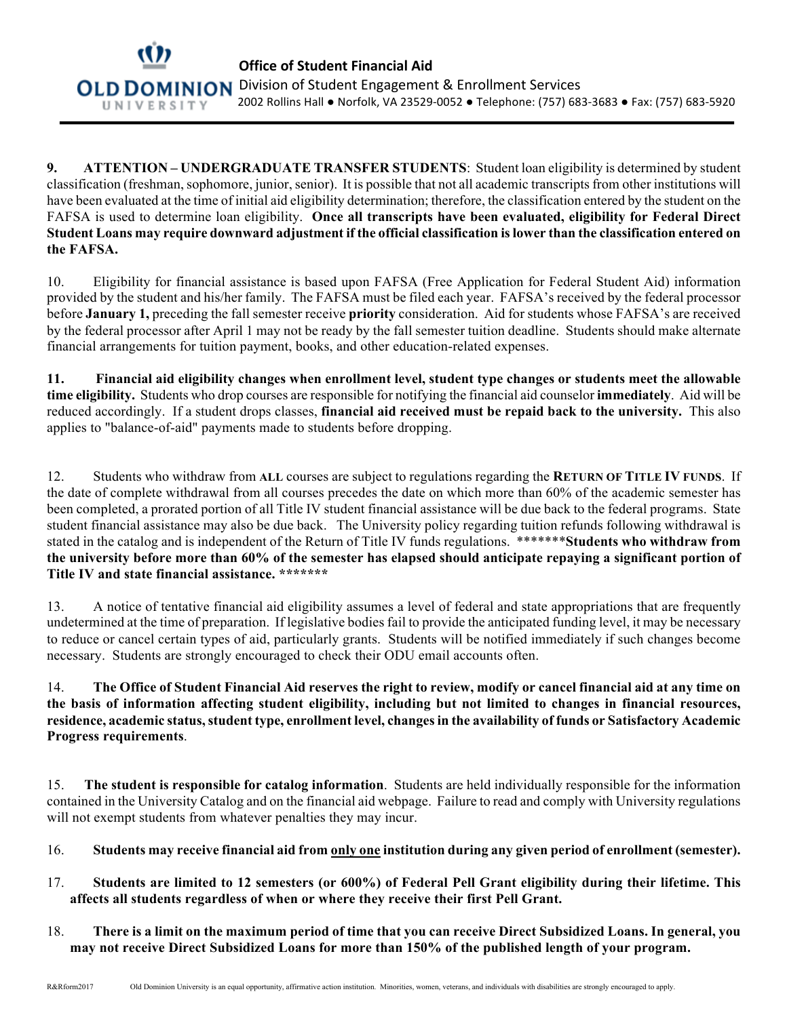

**9. ATTENTION – UNDERGRADUATE TRANSFER STUDENTS**: Student loan eligibility is determined by student classification (freshman, sophomore, junior, senior). It is possible that not all academic transcripts from other institutions will have been evaluated at the time of initial aid eligibility determination; therefore, the classification entered by the student on the FAFSA is used to determine loan eligibility. **Once all transcripts have been evaluated, eligibility for Federal Direct Student Loans may require downward adjustment if the official classification is lower than the classification entered on the FAFSA.**

10. Eligibility for financial assistance is based upon FAFSA (Free Application for Federal Student Aid) information provided by the student and his/her family. The FAFSA must be filed each year. FAFSA's received by the federal processor before **January 1,** preceding the fall semester receive **priority** consideration. Aid for students whose FAFSA's are received by the federal processor after April 1 may not be ready by the fall semester tuition deadline. Students should make alternate financial arrangements for tuition payment, books, and other education-related expenses.

**11. Financial aid eligibility changes when enrollment level, student type changes or students meet the allowable time eligibility.** Students who drop courses are responsible for notifying the financial aid counselor **immediately**. Aid will be reduced accordingly. If a student drops classes, **financial aid received must be repaid back to the university.** This also applies to "balance-of-aid" payments made to students before dropping.

12. Students who withdraw from **ALL** courses are subject to regulations regarding the **RETURN OF TITLE IV FUNDS**. If the date of complete withdrawal from all courses precedes the date on which more than 60% of the academic semester has been completed, a prorated portion of all Title IV student financial assistance will be due back to the federal programs. State student financial assistance may also be due back. The University policy regarding tuition refunds following withdrawal is stated in the catalog and is independent of the Return of Title IV funds regulations. \*\*\*\*\*\*\***Students who withdraw from the university before more than 60% of the semester has elapsed should anticipate repaying a significant portion of Title IV and state financial assistance. \*\*\*\*\*\*\***

13. A notice of tentative financial aid eligibility assumes a level of federal and state appropriations that are frequently undetermined at the time of preparation. If legislative bodies fail to provide the anticipated funding level, it may be necessary to reduce or cancel certain types of aid, particularly grants. Students will be notified immediately if such changes become necessary. Students are strongly encouraged to check their ODU email accounts often.

14. **The Office of Student Financial Aid reserves the right to review, modify or cancel financial aid at any time on the basis of information affecting student eligibility, including but not limited to changes in financial resources, residence, academic status, student type, enrollment level, changes in the availability of funds or Satisfactory Academic Progress requirements**.

15. **The student is responsible for catalog information**. Students are held individually responsible for the information contained in the University Catalog and on the financial aid webpage. Failure to read and comply with University regulations will not exempt students from whatever penalties they may incur.

- 16. **Students may receive financial aid from only one institution during any given period of enrollment (semester).**
- 17. **Students are limited to 12 semesters (or 600%) of Federal Pell Grant eligibility during their lifetime. This affects all students regardless of when or where they receive their first Pell Grant.**
- 18. **There is a limit on the maximum period of time that you can receive Direct Subsidized Loans. In general, you may not receive Direct Subsidized Loans for more than 150% of the published length of your program.**